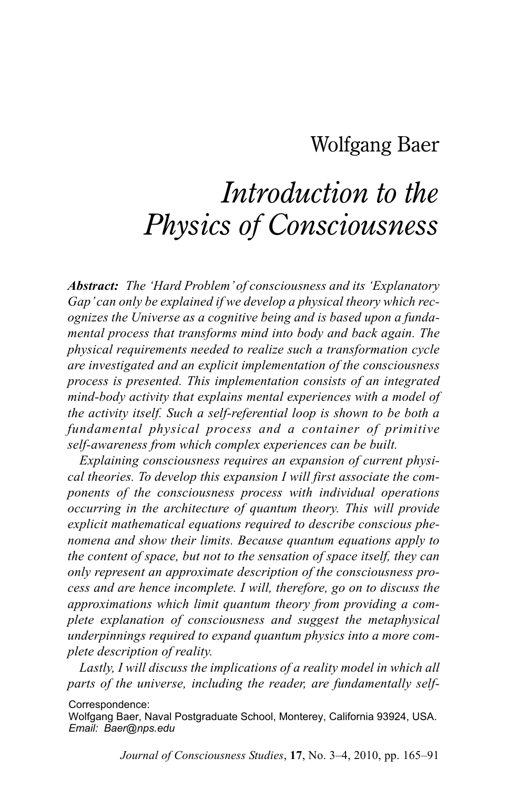# Wolfgang Baer

# *Introduction to the Physics of Consciousness*

*Abstract: The 'Hard Problem'of consciousness and its 'Explanatory Gap'can only be explained if we develop a physical theory which recognizes the Universe as a cognitive being and is based upon a fundamental process that transforms mind into body and back again. The physical requirements needed to realize such a transformation cycle are investigated and an explicit implementation of the consciousness process is presented. This implementation consists of an integrated mind-body activity that explains mental experiences with a model of the activity itself. Such a self-referential loop is shown to be both a fundamental physical process and a container of primitive self-awareness from which complex experiences can be built.*

*Explaining consciousness requires an expansion of current physical theories. To develop this expansion I will first associate the components of the consciousness process with individual operations occurring in the architecture of quantum theory. This will provide explicit mathematical equations required to describe conscious phenomena and show their limits. Because quantum equations apply to the content of space, but not to the sensation of space itself, they can only represent an approximate description of the consciousness process and are hence incomplete. I will, therefore, go on to discuss the approximations which limit quantum theory from providing a complete explanation of consciousness and suggest the metaphysical underpinnings required to expand quantum physics into a more complete description of reality.*

*Lastly, I will discuss the implications of a reality model in which all parts of the universe, including the reader, are fundamentally self-*

Correspondence:

Wolfgang Baer, Naval Postgraduate School, Monterey, California 93924, USA. *Email: Baer@nps.edu*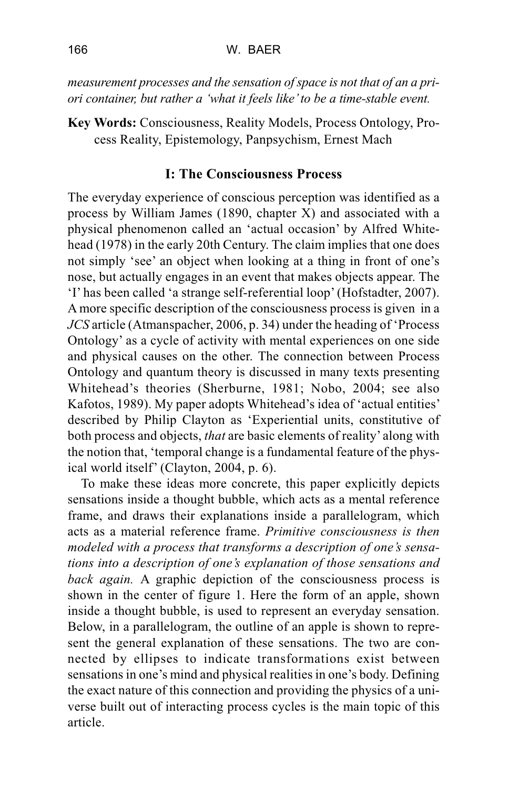*measurement processes and the sensation of space is not that of an a priori container, but rather a 'what it feels like' to be a time-stable event.*

**Key Words:** Consciousness, Reality Models, Process Ontology, Process Reality, Epistemology, Panpsychism, Ernest Mach

#### **I: The Consciousness Process**

The everyday experience of conscious perception was identified as a process by William James (1890, chapter X) and associated with a physical phenomenon called an 'actual occasion' by Alfred Whitehead (1978) in the early 20th Century. The claim implies that one does not simply 'see' an object when looking at a thing in front of one's nose, but actually engages in an event that makes objects appear. The 'I' has been called 'a strange self-referential loop' (Hofstadter, 2007). A more specific description of the consciousness process is given in a *JCS* article (Atmanspacher, 2006, p. 34) under the heading of 'Process Ontology' as a cycle of activity with mental experiences on one side and physical causes on the other. The connection between Process Ontology and quantum theory is discussed in many texts presenting Whitehead's theories (Sherburne, 1981; Nobo, 2004; see also Kafotos, 1989). My paper adopts Whitehead's idea of 'actual entities' described by Philip Clayton as 'Experiential units, constitutive of both process and objects, *that* are basic elements of reality' along with the notion that, 'temporal change is a fundamental feature of the physical world itself' (Clayton, 2004, p. 6).

To make these ideas more concrete, this paper explicitly depicts sensations inside a thought bubble, which acts as a mental reference frame, and draws their explanations inside a parallelogram, which acts as a material reference frame. *Primitive consciousness is then modeled with a process that transforms a description of one's sensations into a description of one's explanation of those sensations and back again.* A graphic depiction of the consciousness process is shown in the center of figure 1. Here the form of an apple, shown inside a thought bubble, is used to represent an everyday sensation. Below, in a parallelogram, the outline of an apple is shown to represent the general explanation of these sensations. The two are connected by ellipses to indicate transformations exist between sensations in one's mind and physical realities in one's body. Defining the exact nature of this connection and providing the physics of a universe built out of interacting process cycles is the main topic of this article.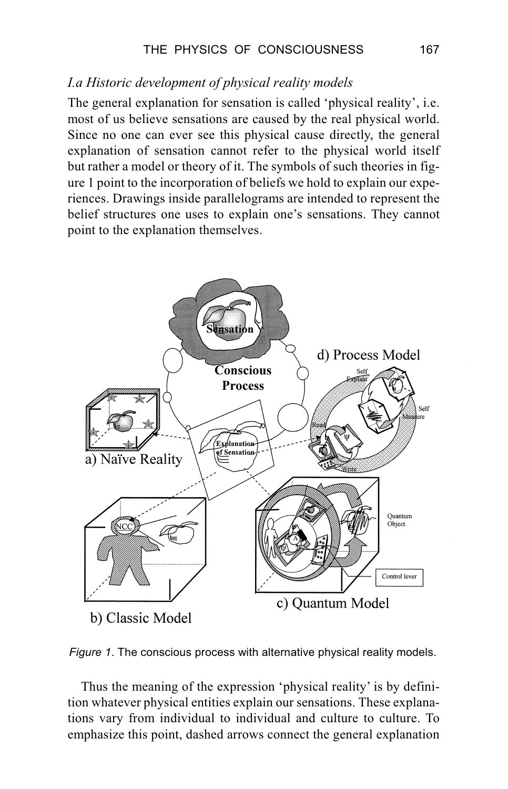#### *I.a Historic development of physical reality models*

The general explanation for sensation is called 'physical reality', i.e. most of us believe sensations are caused by the real physical world. Since no one can ever see this physical cause directly, the general explanation of sensation cannot refer to the physical world itself but rather a model or theory of it. The symbols of such theories in figure 1 point to the incorporation of beliefs we hold to explain our experiences. Drawings inside parallelograms are intended to represent the belief structures one uses to explain one's sensations. They cannot point to the explanation themselves.



*Figure 1*. The conscious process with alternative physical reality models.

Thus the meaning of the expression 'physical reality' is by definition whatever physical entities explain our sensations. These explanations vary from individual to individual and culture to culture. To emphasize this point, dashed arrows connect the general explanation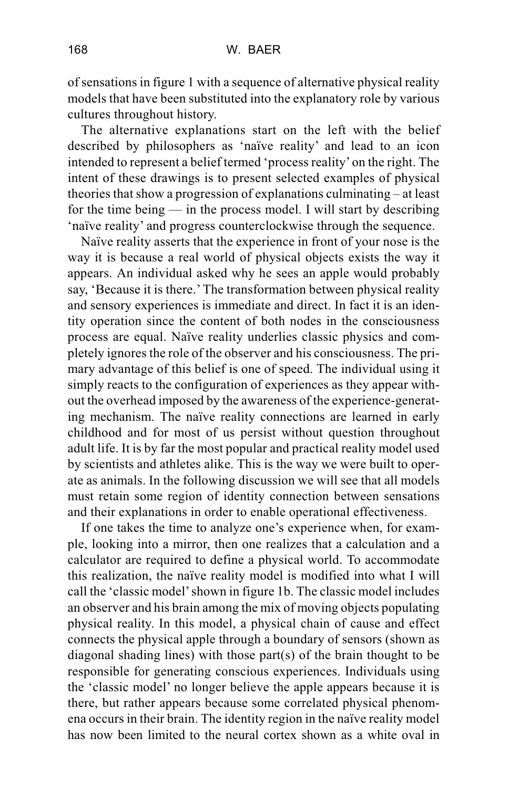of sensations in figure 1 with a sequence of alternative physical reality models that have been substituted into the explanatory role by various cultures throughout history.

The alternative explanations start on the left with the belief described by philosophers as 'naïve reality' and lead to an icon intended to represent a belief termed 'process reality'on the right. The intent of these drawings is to present selected examples of physical theories that show a progression of explanations culminating – at least for the time being — in the process model. I will start by describing 'naïve reality' and progress counterclockwise through the sequence.

Naïve reality asserts that the experience in front of your nose is the way it is because a real world of physical objects exists the way it appears. An individual asked why he sees an apple would probably say, 'Because it is there.' The transformation between physical reality and sensory experiences is immediate and direct. In fact it is an identity operation since the content of both nodes in the consciousness process are equal. Naïve reality underlies classic physics and completely ignores the role of the observer and his consciousness. The primary advantage of this belief is one of speed. The individual using it simply reacts to the configuration of experiences as they appear without the overhead imposed by the awareness of the experience-generating mechanism. The naïve reality connections are learned in early childhood and for most of us persist without question throughout adult life. It is by far the most popular and practical reality model used by scientists and athletes alike. This is the way we were built to operate as animals. In the following discussion we will see that all models must retain some region of identity connection between sensations and their explanations in order to enable operational effectiveness.

If one takes the time to analyze one's experience when, for example, looking into a mirror, then one realizes that a calculation and a calculator are required to define a physical world. To accommodate this realization, the naïve reality model is modified into what I will call the 'classic model'shown in figure 1b. The classic model includes an observer and his brain among the mix of moving objects populating physical reality. In this model, a physical chain of cause and effect connects the physical apple through a boundary of sensors (shown as diagonal shading lines) with those part(s) of the brain thought to be responsible for generating conscious experiences. Individuals using the 'classic model' no longer believe the apple appears because it is there, but rather appears because some correlated physical phenomena occurs in their brain. The identity region in the naïve reality model has now been limited to the neural cortex shown as a white oval in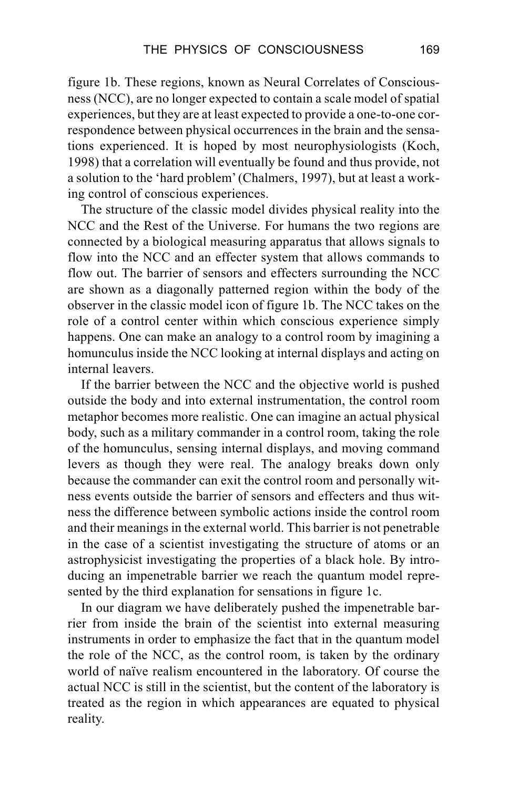figure 1b. These regions, known as Neural Correlates of Consciousness (NCC), are no longer expected to contain a scale model of spatial experiences, but they are at least expected to provide a one-to-one correspondence between physical occurrences in the brain and the sensations experienced. It is hoped by most neurophysiologists (Koch, 1998) that a correlation will eventually be found and thus provide, not a solution to the 'hard problem' (Chalmers, 1997), but at least a working control of conscious experiences.

The structure of the classic model divides physical reality into the NCC and the Rest of the Universe. For humans the two regions are connected by a biological measuring apparatus that allows signals to flow into the NCC and an effecter system that allows commands to flow out. The barrier of sensors and effecters surrounding the NCC are shown as a diagonally patterned region within the body of the observer in the classic model icon of figure 1b. The NCC takes on the role of a control center within which conscious experience simply happens. One can make an analogy to a control room by imagining a homunculus inside the NCC looking at internal displays and acting on internal leavers.

If the barrier between the NCC and the objective world is pushed outside the body and into external instrumentation, the control room metaphor becomes more realistic. One can imagine an actual physical body, such as a military commander in a control room, taking the role of the homunculus, sensing internal displays, and moving command levers as though they were real. The analogy breaks down only because the commander can exit the control room and personally witness events outside the barrier of sensors and effecters and thus witness the difference between symbolic actions inside the control room and their meanings in the external world. This barrier is not penetrable in the case of a scientist investigating the structure of atoms or an astrophysicist investigating the properties of a black hole. By introducing an impenetrable barrier we reach the quantum model represented by the third explanation for sensations in figure 1c.

In our diagram we have deliberately pushed the impenetrable barrier from inside the brain of the scientist into external measuring instruments in order to emphasize the fact that in the quantum model the role of the NCC, as the control room, is taken by the ordinary world of naïve realism encountered in the laboratory. Of course the actual NCC is still in the scientist, but the content of the laboratory is treated as the region in which appearances are equated to physical reality.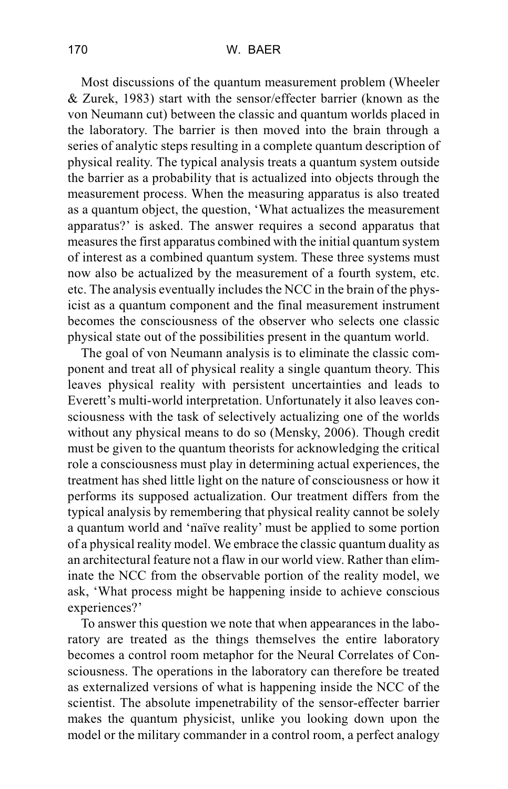Most discussions of the quantum measurement problem (Wheeler & Zurek, 1983) start with the sensor/effecter barrier (known as the von Neumann cut) between the classic and quantum worlds placed in the laboratory. The barrier is then moved into the brain through a series of analytic steps resulting in a complete quantum description of physical reality. The typical analysis treats a quantum system outside the barrier as a probability that is actualized into objects through the measurement process. When the measuring apparatus is also treated as a quantum object, the question, 'What actualizes the measurement apparatus?' is asked. The answer requires a second apparatus that measures the first apparatus combined with the initial quantum system of interest as a combined quantum system. These three systems must now also be actualized by the measurement of a fourth system, etc. etc. The analysis eventually includes the NCC in the brain of the physicist as a quantum component and the final measurement instrument becomes the consciousness of the observer who selects one classic physical state out of the possibilities present in the quantum world.

The goal of von Neumann analysis is to eliminate the classic component and treat all of physical reality a single quantum theory. This leaves physical reality with persistent uncertainties and leads to Everett's multi-world interpretation. Unfortunately it also leaves consciousness with the task of selectively actualizing one of the worlds without any physical means to do so (Mensky, 2006). Though credit must be given to the quantum theorists for acknowledging the critical role a consciousness must play in determining actual experiences, the treatment has shed little light on the nature of consciousness or how it performs its supposed actualization. Our treatment differs from the typical analysis by remembering that physical reality cannot be solely a quantum world and 'naïve reality' must be applied to some portion of a physical reality model. We embrace the classic quantum duality as an architectural feature not a flaw in our world view. Rather than eliminate the NCC from the observable portion of the reality model, we ask, 'What process might be happening inside to achieve conscious experiences?'

To answer this question we note that when appearances in the laboratory are treated as the things themselves the entire laboratory becomes a control room metaphor for the Neural Correlates of Consciousness. The operations in the laboratory can therefore be treated as externalized versions of what is happening inside the NCC of the scientist. The absolute impenetrability of the sensor-effecter barrier makes the quantum physicist, unlike you looking down upon the model or the military commander in a control room, a perfect analogy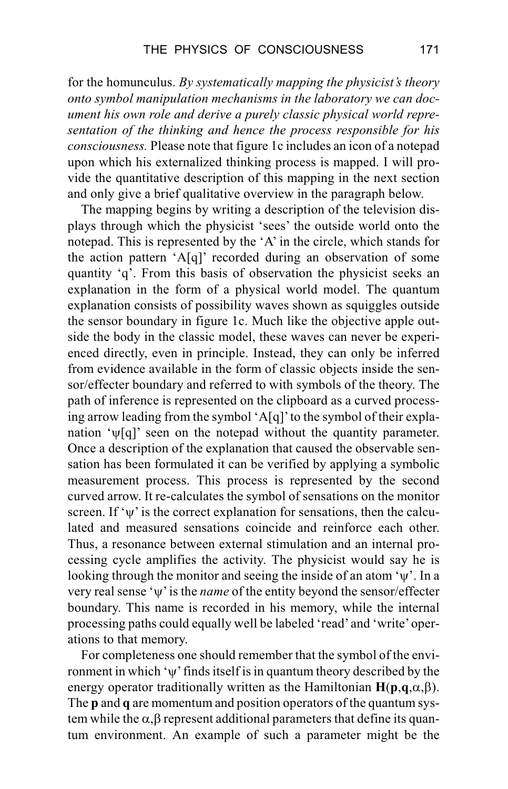for the homunculus. *By systematically mapping the physicist's theory onto symbol manipulation mechanisms in the laboratory we can document his own role and derive a purely classic physical world representation of the thinking and hence the process responsible for his consciousness.* Please note that figure 1c includes an icon of a notepad upon which his externalized thinking process is mapped. I will provide the quantitative description of this mapping in the next section and only give a brief qualitative overview in the paragraph below.

The mapping begins by writing a description of the television displays through which the physicist 'sees' the outside world onto the notepad. This is represented by the 'A' in the circle, which stands for the action pattern 'A[q]' recorded during an observation of some quantity 'q'. From this basis of observation the physicist seeks an explanation in the form of a physical world model. The quantum explanation consists of possibility waves shown as squiggles outside the sensor boundary in figure 1c. Much like the objective apple outside the body in the classic model, these waves can never be experienced directly, even in principle. Instead, they can only be inferred from evidence available in the form of classic objects inside the sensor/effecter boundary and referred to with symbols of the theory. The path of inference is represented on the clipboard as a curved processing arrow leading from the symbol 'A[q]' to the symbol of their explanation ' $\psi[q]$ ' seen on the notepad without the quantity parameter. Once a description of the explanation that caused the observable sensation has been formulated it can be verified by applying a symbolic measurement process. This process is represented by the second curved arrow. It re-calculates the symbol of sensations on the monitor screen. If ' $\psi$ ' is the correct explanation for sensations, then the calculated and measured sensations coincide and reinforce each other. Thus, a resonance between external stimulation and an internal processing cycle amplifies the activity. The physicist would say he is looking through the monitor and seeing the inside of an atom ' $\psi$ '. In a very real sense ' $\psi$ ' is the *name* of the entity beyond the sensor/effecter boundary. This name is recorded in his memory, while the internal processing paths could equally well be labeled 'read'and 'write'operations to that memory.

For completeness one should remember that the symbol of the environment in which ' $\psi$ ' finds itself is in quantum theory described by the energy operator traditionally written as the Hamiltonian  $H(p,q,\alpha,\beta)$ . The **p** and **q** are momentum and position operators of the quantum system while the  $\alpha, \beta$  represent additional parameters that define its quantum environment. An example of such a parameter might be the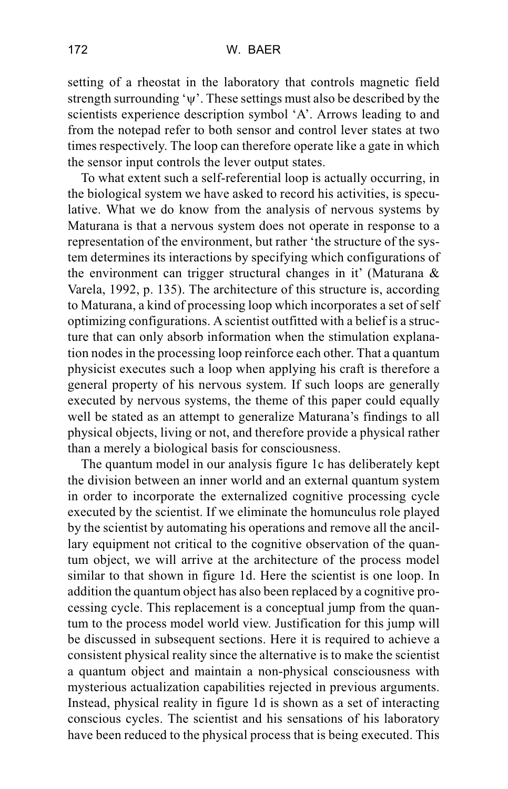setting of a rheostat in the laboratory that controls magnetic field strength surrounding ' $\nu'$ . These settings must also be described by the scientists experience description symbol 'A'. Arrows leading to and from the notepad refer to both sensor and control lever states at two times respectively. The loop can therefore operate like a gate in which the sensor input controls the lever output states.

To what extent such a self-referential loop is actually occurring, in the biological system we have asked to record his activities, is speculative. What we do know from the analysis of nervous systems by Maturana is that a nervous system does not operate in response to a representation of the environment, but rather 'the structure of the system determines its interactions by specifying which configurations of the environment can trigger structural changes in it' (Maturana & Varela, 1992, p. 135). The architecture of this structure is, according to Maturana, a kind of processing loop which incorporates a set of self optimizing configurations. A scientist outfitted with a belief is a structure that can only absorb information when the stimulation explanation nodes in the processing loop reinforce each other. That a quantum physicist executes such a loop when applying his craft is therefore a general property of his nervous system. If such loops are generally executed by nervous systems, the theme of this paper could equally well be stated as an attempt to generalize Maturana's findings to all physical objects, living or not, and therefore provide a physical rather than a merely a biological basis for consciousness.

The quantum model in our analysis figure 1c has deliberately kept the division between an inner world and an external quantum system in order to incorporate the externalized cognitive processing cycle executed by the scientist. If we eliminate the homunculus role played by the scientist by automating his operations and remove all the ancillary equipment not critical to the cognitive observation of the quantum object, we will arrive at the architecture of the process model similar to that shown in figure 1d. Here the scientist is one loop. In addition the quantum object has also been replaced by a cognitive processing cycle. This replacement is a conceptual jump from the quantum to the process model world view. Justification for this jump will be discussed in subsequent sections. Here it is required to achieve a consistent physical reality since the alternative is to make the scientist a quantum object and maintain a non-physical consciousness with mysterious actualization capabilities rejected in previous arguments. Instead, physical reality in figure 1d is shown as a set of interacting conscious cycles. The scientist and his sensations of his laboratory have been reduced to the physical process that is being executed. This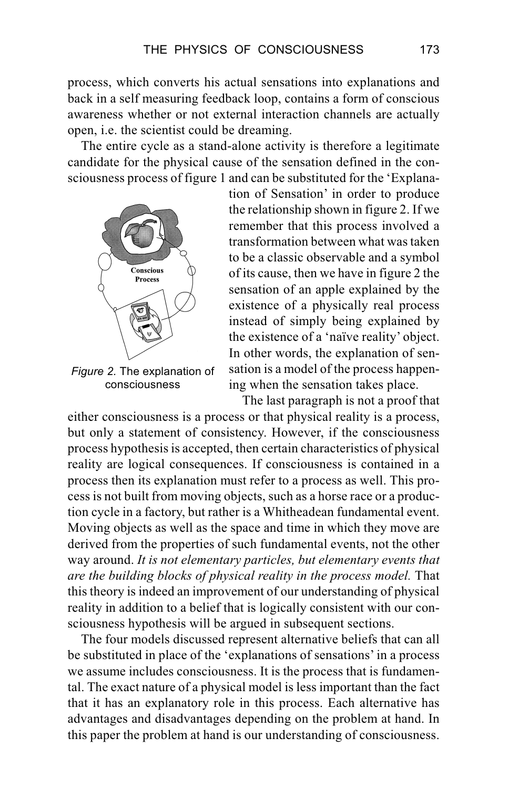process, which converts his actual sensations into explanations and back in a self measuring feedback loop, contains a form of conscious awareness whether or not external interaction channels are actually open, i.e. the scientist could be dreaming.

The entire cycle as a stand-alone activity is therefore a legitimate candidate for the physical cause of the sensation defined in the consciousness process of figure 1 and can be substituted for the 'Explana-



*Figure 2.* The explanation of consciousness

tion of Sensation' in order to produce the relationship shown in figure 2. If we remember that this process involved a transformation between what was taken to be a classic observable and a symbol of its cause, then we have in figure 2 the sensation of an apple explained by the existence of a physically real process instead of simply being explained by the existence of a 'naïve reality' object. In other words, the explanation of sensation is a model of the process happening when the sensation takes place.

The last paragraph is not a proof that either consciousness is a process or that physical reality is a process, but only a statement of consistency. However, if the consciousness process hypothesis is accepted, then certain characteristics of physical reality are logical consequences. If consciousness is contained in a process then its explanation must refer to a process as well. This process is not built from moving objects, such as a horse race or a production cycle in a factory, but rather is a Whitheadean fundamental event. Moving objects as well as the space and time in which they move are derived from the properties of such fundamental events, not the other way around. *It is not elementary particles, but elementary events that are the building blocks of physical reality in the process model.* That this theory is indeed an improvement of our understanding of physical reality in addition to a belief that is logically consistent with our consciousness hypothesis will be argued in subsequent sections.

The four models discussed represent alternative beliefs that can all be substituted in place of the 'explanations of sensations' in a process we assume includes consciousness. It is the process that is fundamental. The exact nature of a physical model is less important than the fact that it has an explanatory role in this process. Each alternative has advantages and disadvantages depending on the problem at hand. In this paper the problem at hand is our understanding of consciousness.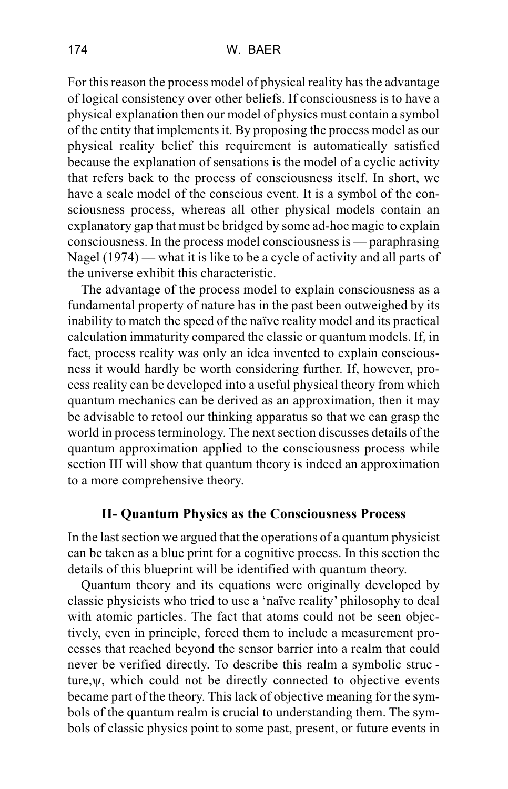For this reason the process model of physical reality has the advantage of logical consistency over other beliefs. If consciousness is to have a physical explanation then our model of physics must contain a symbol of the entity that implements it. By proposing the process model as our physical reality belief this requirement is automatically satisfied because the explanation of sensations is the model of a cyclic activity that refers back to the process of consciousness itself. In short, we have a scale model of the conscious event. It is a symbol of the consciousness process, whereas all other physical models contain an explanatory gap that must be bridged by some ad-hoc magic to explain consciousness. In the process model consciousness is — paraphrasing Nagel (1974) — what it is like to be a cycle of activity and all parts of the universe exhibit this characteristic.

The advantage of the process model to explain consciousness as a fundamental property of nature has in the past been outweighed by its inability to match the speed of the naïve reality model and its practical calculation immaturity compared the classic or quantum models. If, in fact, process reality was only an idea invented to explain consciousness it would hardly be worth considering further. If, however, process reality can be developed into a useful physical theory from which quantum mechanics can be derived as an approximation, then it may be advisable to retool our thinking apparatus so that we can grasp the world in process terminology. The next section discusses details of the quantum approximation applied to the consciousness process while section III will show that quantum theory is indeed an approximation to a more comprehensive theory.

# **II- Quantum Physics as the Consciousness Process**

In the last section we argued that the operations of a quantum physicist can be taken as a blue print for a cognitive process. In this section the details of this blueprint will be identified with quantum theory.

Quantum theory and its equations were originally developed by classic physicists who tried to use a 'naïve reality' philosophy to deal with atomic particles. The fact that atoms could not be seen objectively, even in principle, forced them to include a measurement processes that reached beyond the sensor barrier into a realm that could never be verified directly. To describe this realm a symbolic struc ture, $\psi$ , which could not be directly connected to objective events became part of the theory. This lack of objective meaning for the symbols of the quantum realm is crucial to understanding them. The symbols of classic physics point to some past, present, or future events in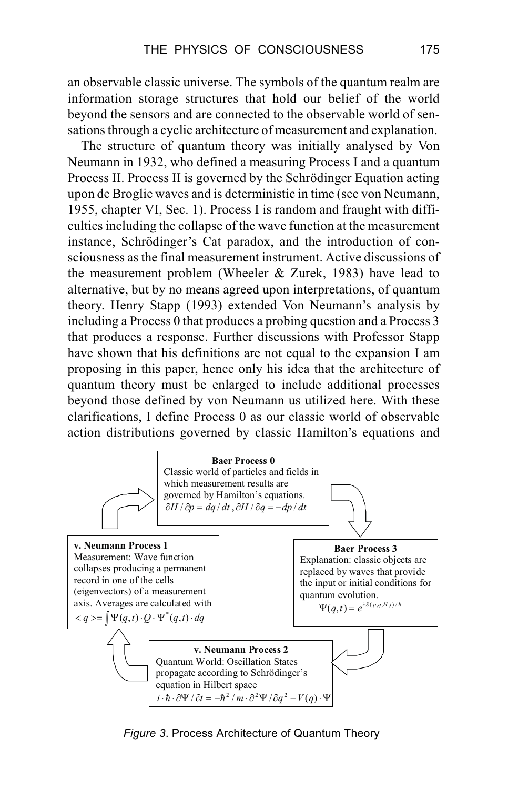an observable classic universe. The symbols of the quantum realm are information storage structures that hold our belief of the world beyond the sensors and are connected to the observable world of sensations through a cyclic architecture of measurement and explanation.

The structure of quantum theory was initially analysed by Von Neumann in 1932, who defined a measuring Process I and a quantum Process II. Process II is governed by the Schrödinger Equation acting upon de Broglie waves and is deterministic in time (see von Neumann, 1955, chapter VI, Sec. 1). Process I is random and fraught with difficulties including the collapse of the wave function at the measurement instance, Schrödinger's Cat paradox, and the introduction of consciousness as the final measurement instrument. Active discussions of the measurement problem (Wheeler & Zurek, 1983) have lead to alternative, but by no means agreed upon interpretations, of quantum theory. Henry Stapp (1993) extended Von Neumann's analysis by including a Process 0 that produces a probing question and a Process 3 that produces a response. Further discussions with Professor Stapp have shown that his definitions are not equal to the expansion I am proposing in this paper, hence only his idea that the architecture of quantum theory must be enlarged to include additional processes beyond those defined by von Neumann us utilized here. With these clarifications, I define Process 0 as our classic world of observable action distributions governed by classic Hamilton's equations and



*Figure 3*. Process Architecture of Quantum Theory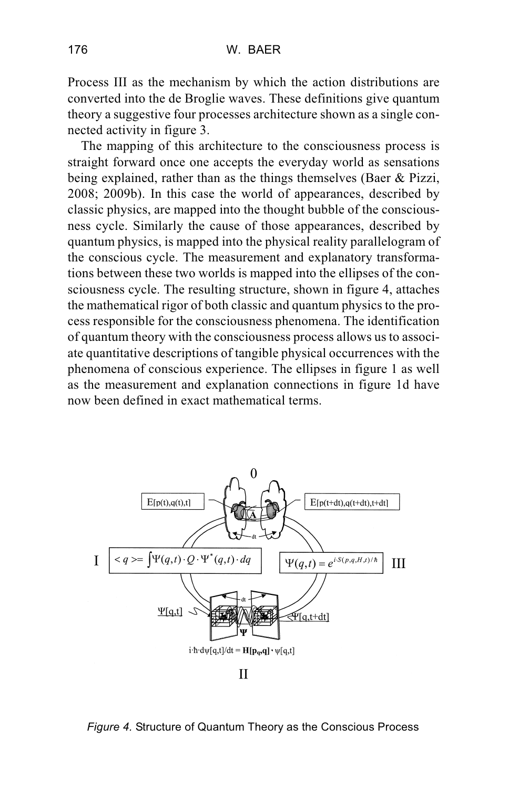Process III as the mechanism by which the action distributions are converted into the de Broglie waves. These definitions give quantum theory a suggestive four processes architecture shown as a single connected activity in figure 3.

The mapping of this architecture to the consciousness process is straight forward once one accepts the everyday world as sensations being explained, rather than as the things themselves (Baer & Pizzi, 2008; 2009b). In this case the world of appearances, described by classic physics, are mapped into the thought bubble of the consciousness cycle. Similarly the cause of those appearances, described by quantum physics, is mapped into the physical reality parallelogram of the conscious cycle. The measurement and explanatory transformations between these two worlds is mapped into the ellipses of the consciousness cycle. The resulting structure, shown in figure 4, attaches the mathematical rigor of both classic and quantum physics to the process responsible for the consciousness phenomena. The identification of quantum theory with the consciousness process allows us to associate quantitative descriptions of tangible physical occurrences with the phenomena of conscious experience. The ellipses in figure 1 as well as the measurement and explanation connections in figure 1d have now been defined in exact mathematical terms.



*Figure 4.* Structure of Quantum Theory as the Conscious Process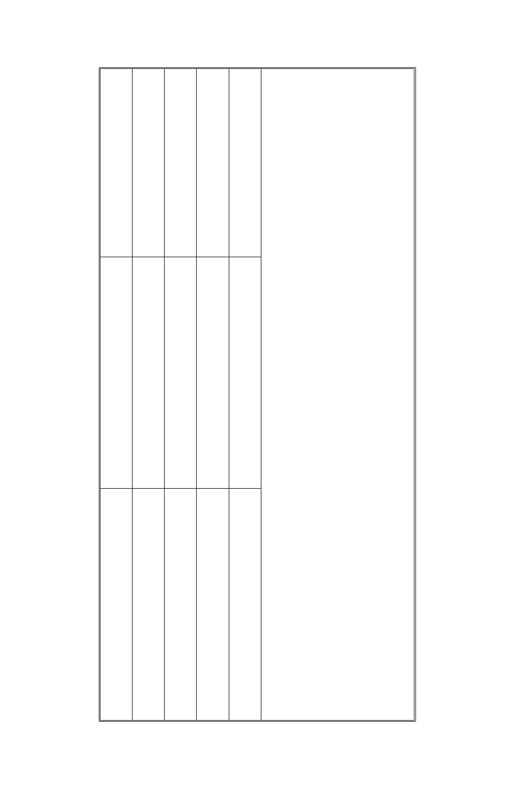| English                            | Physics                                                                                                                                  | Mathematics                              |  |
|------------------------------------|------------------------------------------------------------------------------------------------------------------------------------------|------------------------------------------|--|
| Description of a Sensation         | Description of Classic World                                                                                                             | pf(t),qf(t)                              |  |
| Description of Explanation Process | Description of Classic to Quantum Transform (q, t) es(p, q, t)                                                                           |                                          |  |
| Description of an Explanation      | Description of Quantum World                                                                                                             | (qt,t)                                   |  |
| Description of Measurement Process | Description of Quantum to Classic Transformq                                                                                             | $(q, t)$ $\alpha$ $\rightarrow$ $(q, t)$ |  |
|                                    | qf = Coordinate in the f'th degree of freedom (f is implied when omitted)                                                                |                                          |  |
|                                    | pf = Momentum in the f'th degree of freedom( f is implied when omitted)                                                                  |                                          |  |
|                                    | $(q,t)$ = Schrödinger wave function related to explanation storage                                                                       |                                          |  |
|                                    | $H(p,q,t)$ = Hamiltonian , equal to energy E[p,q,t] for conservative systems related to instantaneous sensation                          |                                          |  |
|                                    | A = S(p,q,H,t) = Hamilton's principle function defines the action in the instance dt related to recordable sensation over an interval dt |                                          |  |
|                                    | Q = The operator used to extract the value any quantity 'q' from,t)                                                                      |                                          |  |
|                                    |                                                                                                                                          |                                          |  |

Table 1. English to Physics to Mathematical Terms Definition. Table 1. English to Physics to Mathematical Terms Definition.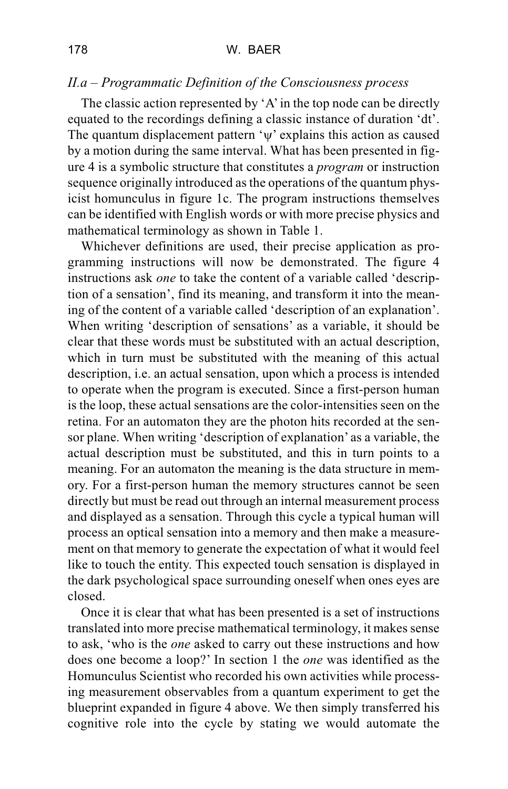### *II.a – Programmatic Definition of the Consciousness process*

The classic action represented by 'A' in the top node can be directly equated to the recordings defining a classic instance of duration 'dt'. The quantum displacement pattern  $\forall y$  explains this action as caused by a motion during the same interval. What has been presented in figure 4 is a symbolic structure that constitutes a *program* or instruction sequence originally introduced as the operations of the quantum physicist homunculus in figure 1c. The program instructions themselves can be identified with English words or with more precise physics and mathematical terminology as shown in Table 1.

Whichever definitions are used, their precise application as programming instructions will now be demonstrated. The figure 4 instructions ask *one* to take the content of a variable called 'description of a sensation', find its meaning, and transform it into the meaning of the content of a variable called 'description of an explanation'. When writing 'description of sensations' as a variable, it should be clear that these words must be substituted with an actual description, which in turn must be substituted with the meaning of this actual description, i.e. an actual sensation, upon which a process is intended to operate when the program is executed. Since a first-person human is the loop, these actual sensations are the color-intensities seen on the retina. For an automaton they are the photon hits recorded at the sensor plane. When writing 'description of explanation' as a variable, the actual description must be substituted, and this in turn points to a meaning. For an automaton the meaning is the data structure in memory. For a first-person human the memory structures cannot be seen directly but must be read out through an internal measurement process and displayed as a sensation. Through this cycle a typical human will process an optical sensation into a memory and then make a measurement on that memory to generate the expectation of what it would feel like to touch the entity. This expected touch sensation is displayed in the dark psychological space surrounding oneself when ones eyes are closed.

Once it is clear that what has been presented is a set of instructions translated into more precise mathematical terminology, it makes sense to ask, 'who is the *one* asked to carry out these instructions and how does one become a loop?' In section 1 the *one* was identified as the Homunculus Scientist who recorded his own activities while processing measurement observables from a quantum experiment to get the blueprint expanded in figure 4 above. We then simply transferred his cognitive role into the cycle by stating we would automate the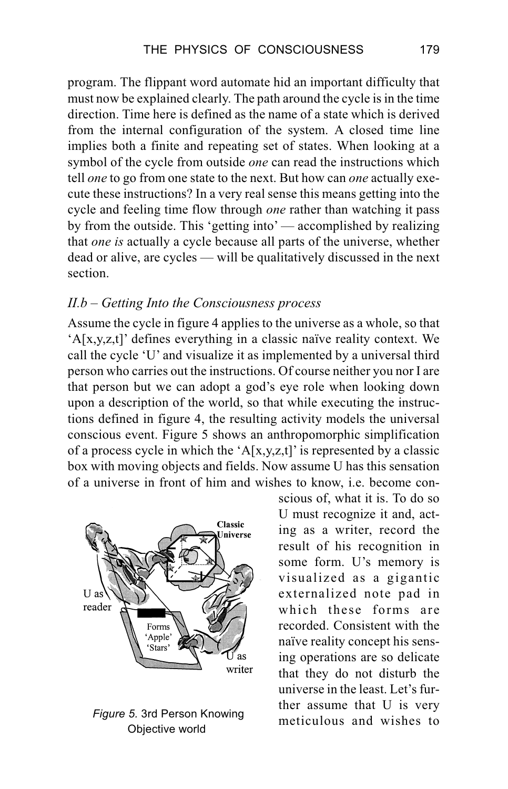program. The flippant word automate hid an important difficulty that must now be explained clearly. The path around the cycle is in the time direction. Time here is defined as the name of a state which is derived from the internal configuration of the system. A closed time line implies both a finite and repeating set of states. When looking at a symbol of the cycle from outside *one* can read the instructions which tell *one* to go from one state to the next. But how can *one* actually execute these instructions? In a very real sense this means getting into the cycle and feeling time flow through *one* rather than watching it pass by from the outside. This 'getting into' — accomplished by realizing that *one is* actually a cycle because all parts of the universe, whether dead or alive, are cycles — will be qualitatively discussed in the next section.

#### *II.b – Getting Into the Consciousness process*

Assume the cycle in figure 4 applies to the universe as a whole, so that 'A[x,y,z,t]' defines everything in a classic naïve reality context. We call the cycle 'U' and visualize it as implemented by a universal third person who carries out the instructions. Of course neither you nor I are that person but we can adopt a god's eye role when looking down upon a description of the world, so that while executing the instructions defined in figure 4, the resulting activity models the universal conscious event. Figure 5 shows an anthropomorphic simplification of a process cycle in which the 'A[x,y,z,t]' is represented by a classic box with moving objects and fields. Now assume U has this sensation of a universe in front of him and wishes to know, i.e. become con-



*Figure 5.* 3rd Person Knowing Objective world

scious of, what it is. To do so U must recognize it and, acting as a writer, record the result of his recognition in some form. U's memory is visualized as a gigantic externalized note pad in which these forms are recorded. Consistent with the naïve reality concept his sensing operations are so delicate that they do not disturb the universe in the least. Let's further assume that U is very meticulous and wishes to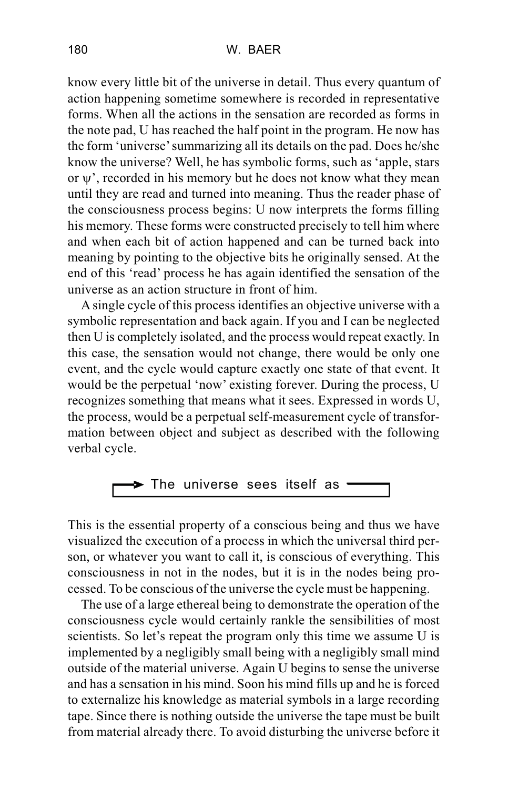know every little bit of the universe in detail. Thus every quantum of action happening sometime somewhere is recorded in representative forms. When all the actions in the sensation are recorded as forms in the note pad, U has reached the half point in the program. He now has the form 'universe' summarizing all its details on the pad. Does he/she know the universe? Well, he has symbolic forms, such as 'apple, stars or  $\psi'$ , recorded in his memory but he does not know what they mean until they are read and turned into meaning. Thus the reader phase of the consciousness process begins: U now interprets the forms filling his memory. These forms were constructed precisely to tell him where and when each bit of action happened and can be turned back into meaning by pointing to the objective bits he originally sensed. At the end of this 'read' process he has again identified the sensation of the universe as an action structure in front of him.

A single cycle of this process identifies an objective universe with a symbolic representation and back again. If you and I can be neglected then U is completely isolated, and the process would repeat exactly. In this case, the sensation would not change, there would be only one event, and the cycle would capture exactly one state of that event. It would be the perpetual 'now' existing forever. During the process, U recognizes something that means what it sees. Expressed in words U, the process, would be a perpetual self-measurement cycle of transformation between object and subject as described with the following verbal cycle.



This is the essential property of a conscious being and thus we have visualized the execution of a process in which the universal third person, or whatever you want to call it, is conscious of everything. This consciousness in not in the nodes, but it is in the nodes being processed. To be conscious of the universe the cycle must be happening.

The use of a large ethereal being to demonstrate the operation of the consciousness cycle would certainly rankle the sensibilities of most scientists. So let's repeat the program only this time we assume U is implemented by a negligibly small being with a negligibly small mind outside of the material universe. Again U begins to sense the universe and has a sensation in his mind. Soon his mind fills up and he is forced to externalize his knowledge as material symbols in a large recording tape. Since there is nothing outside the universe the tape must be built from material already there. To avoid disturbing the universe before it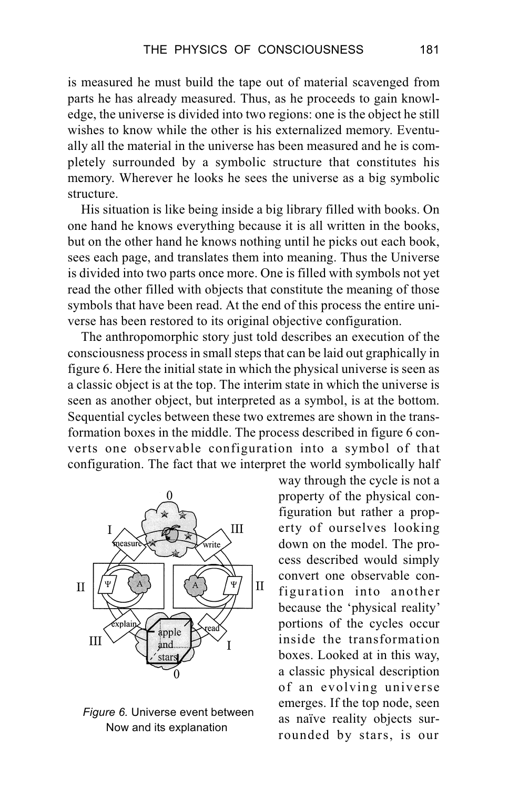is measured he must build the tape out of material scavenged from parts he has already measured. Thus, as he proceeds to gain knowledge, the universe is divided into two regions: one is the object he still wishes to know while the other is his externalized memory. Eventually all the material in the universe has been measured and he is completely surrounded by a symbolic structure that constitutes his memory. Wherever he looks he sees the universe as a big symbolic structure.

His situation is like being inside a big library filled with books. On one hand he knows everything because it is all written in the books, but on the other hand he knows nothing until he picks out each book, sees each page, and translates them into meaning. Thus the Universe is divided into two parts once more. One is filled with symbols not yet read the other filled with objects that constitute the meaning of those symbols that have been read. At the end of this process the entire universe has been restored to its original objective configuration.

The anthropomorphic story just told describes an execution of the consciousness process in small steps that can be laid out graphically in figure 6. Here the initial state in which the physical universe is seen as a classic object is at the top. The interim state in which the universe is seen as another object, but interpreted as a symbol, is at the bottom. Sequential cycles between these two extremes are shown in the transformation boxes in the middle. The process described in figure 6 converts one observable configuration into a symbol of that configuration. The fact that we interpret the world symbolically half





way through the cycle is not a property of the physical configuration but rather a property of ourselves looking down on the model. The process described would simply convert one observable configuration into another because the 'physical reality' portions of the cycles occur inside the transformation boxes. Looked at in this way, a classic physical description of an evolving universe emerges. If the top node, seen as naïve reality objects surrounded by stars, is our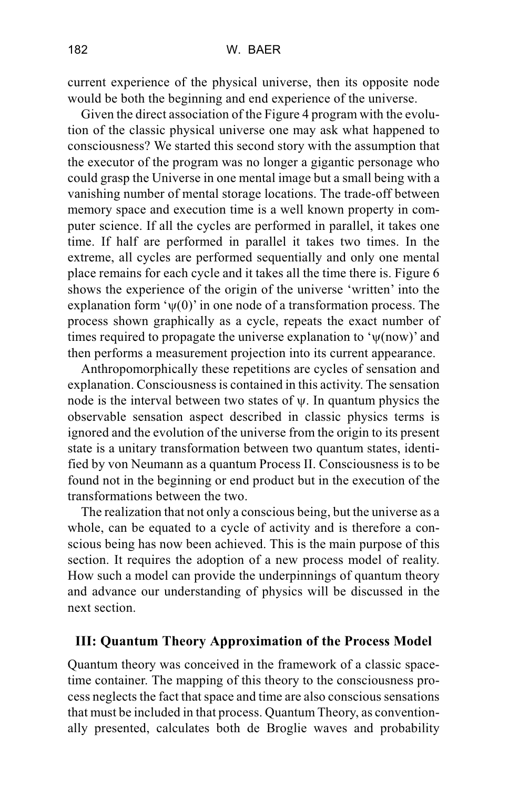current experience of the physical universe, then its opposite node would be both the beginning and end experience of the universe.

Given the direct association of the Figure 4 program with the evolution of the classic physical universe one may ask what happened to consciousness? We started this second story with the assumption that the executor of the program was no longer a gigantic personage who could grasp the Universe in one mental image but a small being with a vanishing number of mental storage locations. The trade-off between memory space and execution time is a well known property in computer science. If all the cycles are performed in parallel, it takes one time. If half are performed in parallel it takes two times. In the extreme, all cycles are performed sequentially and only one mental place remains for each cycle and it takes all the time there is. Figure 6 shows the experience of the origin of the universe 'written' into the explanation form ' $\psi(0)$ ' in one node of a transformation process. The process shown graphically as a cycle, repeats the exact number of times required to propagate the universe explanation to ' $v(now)'$  and then performs a measurement projection into its current appearance.

Anthropomorphically these repetitions are cycles of sensation and explanation. Consciousness is contained in this activity. The sensation node is the interval between two states of  $\psi$ . In quantum physics the observable sensation aspect described in classic physics terms is ignored and the evolution of the universe from the origin to its present state is a unitary transformation between two quantum states, identified by von Neumann as a quantum Process II. Consciousness is to be found not in the beginning or end product but in the execution of the transformations between the two.

The realization that not only a conscious being, but the universe as a whole, can be equated to a cycle of activity and is therefore a conscious being has now been achieved. This is the main purpose of this section. It requires the adoption of a new process model of reality. How such a model can provide the underpinnings of quantum theory and advance our understanding of physics will be discussed in the next section.

# **III: Quantum Theory Approximation of the Process Model**

Quantum theory was conceived in the framework of a classic spacetime container. The mapping of this theory to the consciousness process neglects the fact that space and time are also conscious sensations that must be included in that process. Quantum Theory, as conventionally presented, calculates both de Broglie waves and probability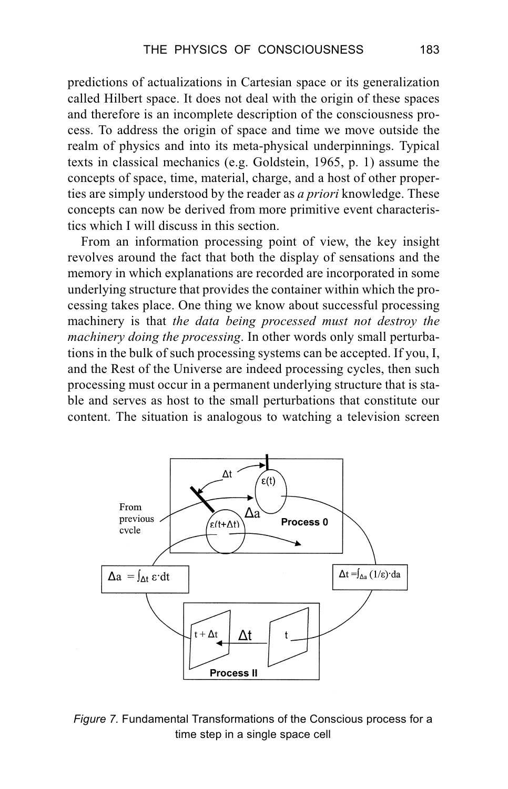predictions of actualizations in Cartesian space or its generalization called Hilbert space. It does not deal with the origin of these spaces and therefore is an incomplete description of the consciousness process. To address the origin of space and time we move outside the realm of physics and into its meta-physical underpinnings. Typical texts in classical mechanics (e.g. Goldstein, 1965, p. 1) assume the concepts of space, time, material, charge, and a host of other properties are simply understood by the reader as *a priori* knowledge. These concepts can now be derived from more primitive event characteristics which I will discuss in this section.

From an information processing point of view, the key insight revolves around the fact that both the display of sensations and the memory in which explanations are recorded are incorporated in some underlying structure that provides the container within which the processing takes place. One thing we know about successful processing machinery is that *the data being processed must not destroy the machinery doing the processing*. In other words only small perturbations in the bulk of such processing systems can be accepted. If you, I, and the Rest of the Universe are indeed processing cycles, then such processing must occur in a permanent underlying structure that is stable and serves as host to the small perturbations that constitute our content. The situation is analogous to watching a television screen



*Figure 7.* Fundamental Transformations of the Conscious process for a time step in a single space cell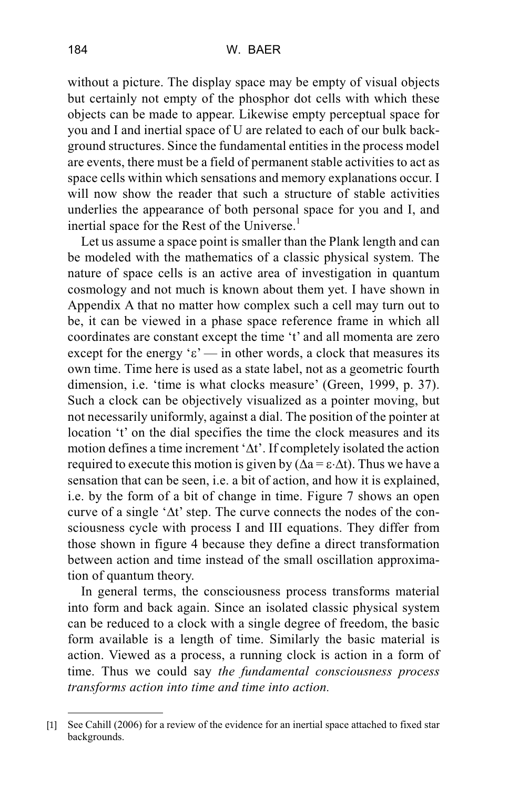without a picture. The display space may be empty of visual objects but certainly not empty of the phosphor dot cells with which these objects can be made to appear. Likewise empty perceptual space for you and I and inertial space of U are related to each of our bulk background structures. Since the fundamental entities in the process model are events, there must be a field of permanent stable activities to act as space cells within which sensations and memory explanations occur. I will now show the reader that such a structure of stable activities underlies the appearance of both personal space for you and I, and inertial space for the Rest of the Universe.<sup>1</sup>

Let us assume a space point is smaller than the Plank length and can be modeled with the mathematics of a classic physical system. The nature of space cells is an active area of investigation in quantum cosmology and not much is known about them yet. I have shown in Appendix A that no matter how complex such a cell may turn out to be, it can be viewed in a phase space reference frame in which all coordinates are constant except the time 't' and all momenta are zero except for the energy ' $\varepsilon$ ' — in other words, a clock that measures its own time. Time here is used as a state label, not as a geometric fourth dimension, i.e. 'time is what clocks measure' (Green, 1999, p. 37). Such a clock can be objectively visualized as a pointer moving, but not necessarily uniformly, against a dial. The position of the pointer at location 't' on the dial specifies the time the clock measures and its motion defines a time increment ' $\Delta t$ '. If completely isolated the action required to execute this motion is given by  $(\Delta a = \epsilon \cdot \Delta t)$ . Thus we have a sensation that can be seen, i.e. a bit of action, and how it is explained, i.e. by the form of a bit of change in time. Figure 7 shows an open curve of a single ' $\Delta t$ ' step. The curve connects the nodes of the consciousness cycle with process I and III equations. They differ from those shown in figure 4 because they define a direct transformation between action and time instead of the small oscillation approximation of quantum theory.

In general terms, the consciousness process transforms material into form and back again. Since an isolated classic physical system can be reduced to a clock with a single degree of freedom, the basic form available is a length of time. Similarly the basic material is action. Viewed as a process, a running clock is action in a form of time. Thus we could say *the fundamental consciousness process transforms action into time and time into action.*

<sup>[1]</sup> See Cahill (2006) for a review of the evidence for an inertial space attached to fixed star backgrounds.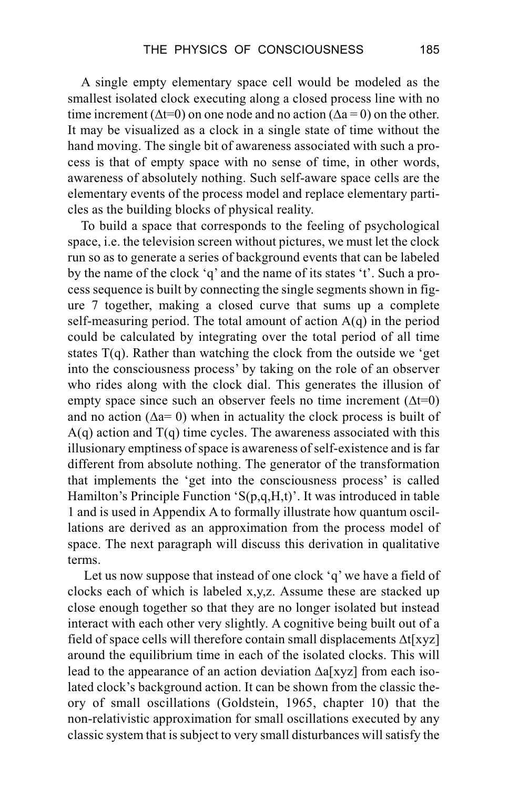A single empty elementary space cell would be modeled as the smallest isolated clock executing along a closed process line with no time increment ( $\Delta t=0$ ) on one node and no action ( $\Delta a = 0$ ) on the other. It may be visualized as a clock in a single state of time without the hand moving. The single bit of awareness associated with such a process is that of empty space with no sense of time, in other words, awareness of absolutely nothing. Such self-aware space cells are the elementary events of the process model and replace elementary particles as the building blocks of physical reality.

To build a space that corresponds to the feeling of psychological space, i.e. the television screen without pictures, we must let the clock run so as to generate a series of background events that can be labeled by the name of the clock 'q' and the name of its states 't'. Such a process sequence is built by connecting the single segments shown in figure 7 together, making a closed curve that sums up a complete self-measuring period. The total amount of action  $A(q)$  in the period could be calculated by integrating over the total period of all time states  $T(q)$ . Rather than watching the clock from the outside we 'get into the consciousness process' by taking on the role of an observer who rides along with the clock dial. This generates the illusion of empty space since such an observer feels no time increment  $(\Delta t=0)$ and no action ( $\Delta a= 0$ ) when in actuality the clock process is built of  $A(q)$  action and  $T(q)$  time cycles. The awareness associated with this illusionary emptiness of space is awareness of self-existence and is far different from absolute nothing. The generator of the transformation that implements the 'get into the consciousness process' is called Hamilton's Principle Function 'S(p,q,H,t)'. It was introduced in table 1 and is used in Appendix A to formally illustrate how quantum oscillations are derived as an approximation from the process model of space. The next paragraph will discuss this derivation in qualitative terms.

Let us now suppose that instead of one clock 'q' we have a field of clocks each of which is labeled x,y,z. Assume these are stacked up close enough together so that they are no longer isolated but instead interact with each other very slightly. A cognitive being built out of a field of space cells will therefore contain small displacements  $\Delta t[xyz]$ around the equilibrium time in each of the isolated clocks. This will lead to the appearance of an action deviation  $\Delta a$ [xyz] from each isolated clock's background action. It can be shown from the classic theory of small oscillations (Goldstein, 1965, chapter 10) that the non-relativistic approximation for small oscillations executed by any classic system that is subject to very small disturbances will satisfy the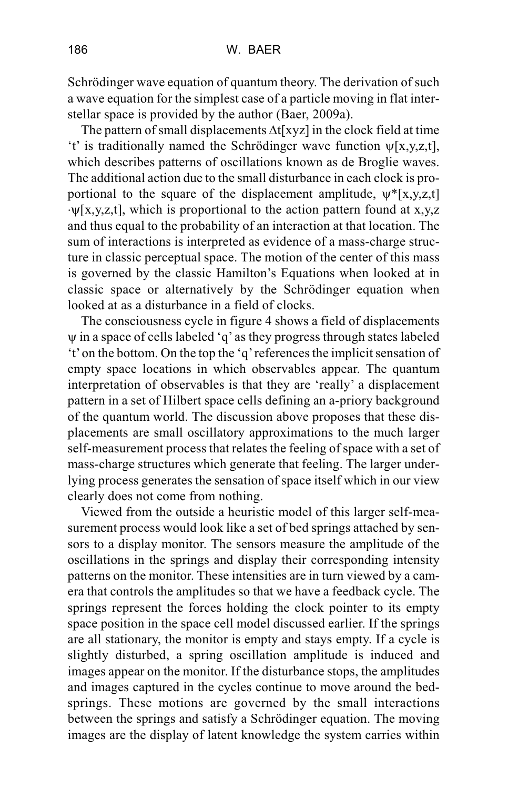Schrödinger wave equation of quantum theory. The derivation of such a wave equation for the simplest case of a particle moving in flat interstellar space is provided by the author (Baer, 2009a).

The pattern of small displacements  $\Delta t[xyz]$  in the clock field at time 't' is traditionally named the Schrödinger wave function  $\psi[x,y,z,t]$ , which describes patterns of oscillations known as de Broglie waves. The additional action due to the small disturbance in each clock is proportional to the square of the displacement amplitude,  $\psi^*$ [x,y,z,t]  $\psi[x,y,z,t]$ , which is proportional to the action pattern found at x,y,z and thus equal to the probability of an interaction at that location. The sum of interactions is interpreted as evidence of a mass-charge structure in classic perceptual space. The motion of the center of this mass is governed by the classic Hamilton's Equations when looked at in classic space or alternatively by the Schrödinger equation when looked at as a disturbance in a field of clocks.

The consciousness cycle in figure 4 shows a field of displacements  $\psi$  in a space of cells labeled 'q' as they progress through states labeled 't'on the bottom. On the top the 'q'references the implicit sensation of empty space locations in which observables appear. The quantum interpretation of observables is that they are 'really' a displacement pattern in a set of Hilbert space cells defining an a-priory background of the quantum world. The discussion above proposes that these displacements are small oscillatory approximations to the much larger self-measurement process that relates the feeling of space with a set of mass-charge structures which generate that feeling. The larger underlying process generates the sensation of space itself which in our view clearly does not come from nothing.

Viewed from the outside a heuristic model of this larger self-measurement process would look like a set of bed springs attached by sensors to a display monitor. The sensors measure the amplitude of the oscillations in the springs and display their corresponding intensity patterns on the monitor. These intensities are in turn viewed by a camera that controls the amplitudes so that we have a feedback cycle. The springs represent the forces holding the clock pointer to its empty space position in the space cell model discussed earlier. If the springs are all stationary, the monitor is empty and stays empty. If a cycle is slightly disturbed, a spring oscillation amplitude is induced and images appear on the monitor. If the disturbance stops, the amplitudes and images captured in the cycles continue to move around the bedsprings. These motions are governed by the small interactions between the springs and satisfy a Schrödinger equation. The moving images are the display of latent knowledge the system carries within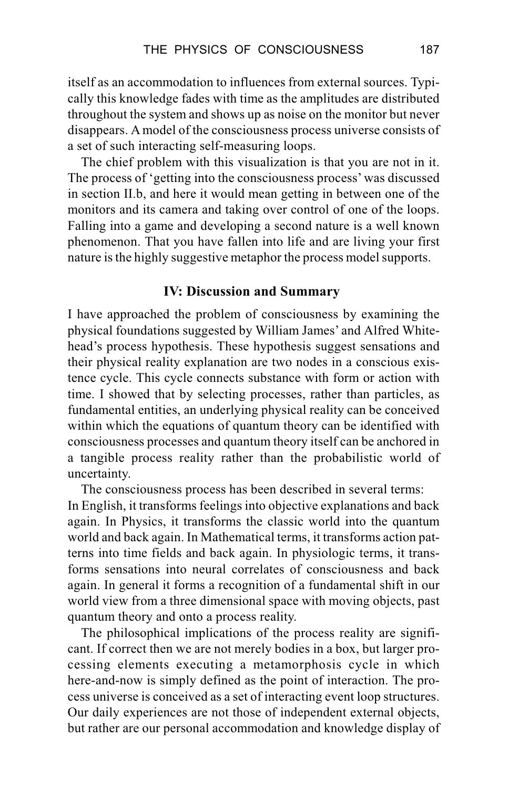itself as an accommodation to influences from external sources. Typically this knowledge fades with time as the amplitudes are distributed throughout the system and shows up as noise on the monitor but never disappears. A model of the consciousness process universe consists of a set of such interacting self-measuring loops.

The chief problem with this visualization is that you are not in it. The process of 'getting into the consciousness process' was discussed in section II.b, and here it would mean getting in between one of the monitors and its camera and taking over control of one of the loops. Falling into a game and developing a second nature is a well known phenomenon. That you have fallen into life and are living your first nature is the highly suggestive metaphor the process model supports.

# **IV: Discussion and Summary**

I have approached the problem of consciousness by examining the physical foundations suggested by William James' and Alfred Whitehead's process hypothesis. These hypothesis suggest sensations and their physical reality explanation are two nodes in a conscious existence cycle. This cycle connects substance with form or action with time. I showed that by selecting processes, rather than particles, as fundamental entities, an underlying physical reality can be conceived within which the equations of quantum theory can be identified with consciousness processes and quantum theory itself can be anchored in a tangible process reality rather than the probabilistic world of uncertainty.

The consciousness process has been described in several terms: In English, it transforms feelings into objective explanations and back again. In Physics, it transforms the classic world into the quantum world and back again. In Mathematical terms, it transforms action patterns into time fields and back again. In physiologic terms, it transforms sensations into neural correlates of consciousness and back again. In general it forms a recognition of a fundamental shift in our world view from a three dimensional space with moving objects, past quantum theory and onto a process reality.

The philosophical implications of the process reality are significant. If correct then we are not merely bodies in a box, but larger processing elements executing a metamorphosis cycle in which here-and-now is simply defined as the point of interaction. The process universe is conceived as a set of interacting event loop structures. Our daily experiences are not those of independent external objects, but rather are our personal accommodation and knowledge display of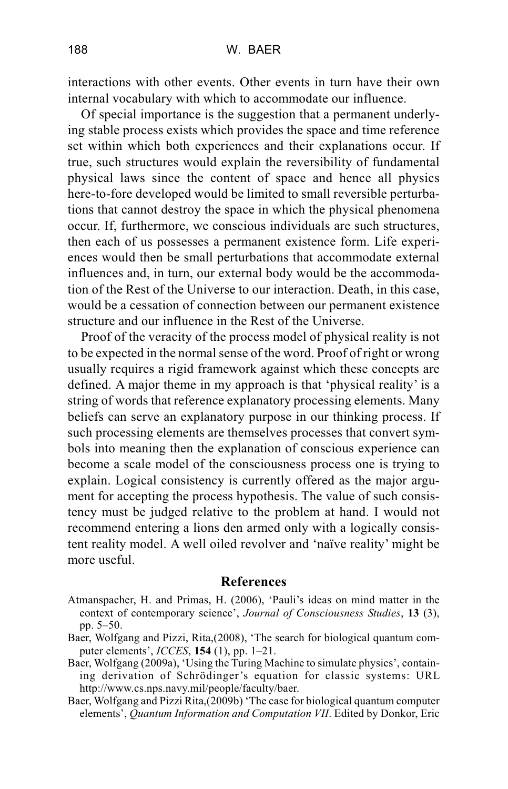interactions with other events. Other events in turn have their own internal vocabulary with which to accommodate our influence.

Of special importance is the suggestion that a permanent underlying stable process exists which provides the space and time reference set within which both experiences and their explanations occur. If true, such structures would explain the reversibility of fundamental physical laws since the content of space and hence all physics here-to-fore developed would be limited to small reversible perturbations that cannot destroy the space in which the physical phenomena occur. If, furthermore, we conscious individuals are such structures, then each of us possesses a permanent existence form. Life experiences would then be small perturbations that accommodate external influences and, in turn, our external body would be the accommodation of the Rest of the Universe to our interaction. Death, in this case, would be a cessation of connection between our permanent existence structure and our influence in the Rest of the Universe.

Proof of the veracity of the process model of physical reality is not to be expected in the normal sense of the word. Proof of right or wrong usually requires a rigid framework against which these concepts are defined. A major theme in my approach is that 'physical reality' is a string of words that reference explanatory processing elements. Many beliefs can serve an explanatory purpose in our thinking process. If such processing elements are themselves processes that convert symbols into meaning then the explanation of conscious experience can become a scale model of the consciousness process one is trying to explain. Logical consistency is currently offered as the major argument for accepting the process hypothesis. The value of such consistency must be judged relative to the problem at hand. I would not recommend entering a lions den armed only with a logically consistent reality model. A well oiled revolver and 'naïve reality' might be more useful.

#### **References**

- Atmanspacher, H. and Primas, H. (2006), 'Pauli's ideas on mind matter in the context of contemporary science', *Journal of Consciousness Studies*, **13** (3), pp. 5–50.
- Baer, Wolfgang and Pizzi, Rita,(2008), 'The search for biological quantum computer elements', *ICCES*, **154** (1), pp. 1–21.
- Baer, Wolfgang (2009a), 'Using the Turing Machine to simulate physics', containing derivation of Schrödinger's equation for classic systems: URL http://www.cs.nps.navy.mil/people/faculty/baer.
- Baer, Wolfgang and Pizzi Rita,(2009b) 'The case for biological quantum computer elements', *Quantum Information and Computation VII*. Edited by Donkor, Eric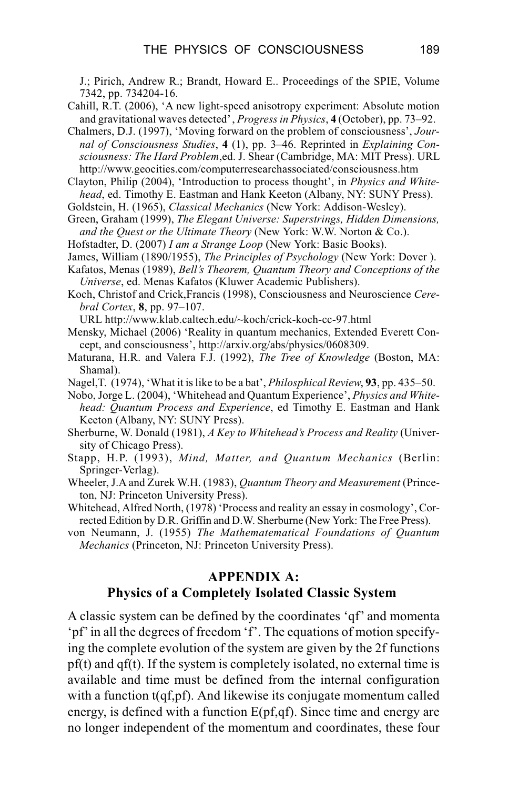J.; Pirich, Andrew R.; Brandt, Howard E.. Proceedings of the SPIE, Volume 7342, pp. 734204-16.

- Cahill, R.T. (2006), 'A new light-speed anisotropy experiment: Absolute motion and gravitational waves detected', *Progress in Physics*, **4** (October), pp. 73–92.
- Chalmers, D.J. (1997), 'Moving forward on the problem of consciousness', *Journal of Consciousness Studies*, **4** (1), pp. 3–46. Reprinted in *Explaining Consciousness: The Hard Problem*,ed. J. Shear (Cambridge, MA: MIT Press). URL http://www.geocities.com/computerresearchassociated/consciousness.htm

Clayton, Philip (2004), 'Introduction to process thought', in *Physics and Whitehead*, ed. Timothy E. Eastman and Hank Keeton (Albany, NY: SUNY Press).

Goldstein, H. (1965), *Classical Mechanics* (New York: Addison-Wesley).

- Green, Graham (1999), *The Elegant Universe: Superstrings, Hidden Dimensions, and the Quest or the Ultimate Theory* (New York: W.W. Norton & Co.).
- Hofstadter, D. (2007) *I am a Strange Loop* (New York: Basic Books).
- James, William (1890/1955), *The Principles of Psychology* (New York: Dover ).
- Kafatos, Menas (1989), *Bell's Theorem, Quantum Theory and Conceptions of the Universe*, ed. Menas Kafatos (Kluwer Academic Publishers).
- Koch, Christof and Crick,Francis (1998), Consciousness and Neuroscience *Cerebral Cortex*, **8**, pp. 97–107.
	- URL http://www.klab.caltech.edu/~koch/crick-koch-cc-97.html
- Mensky, Michael (2006) 'Reality in quantum mechanics, Extended Everett Concept, and consciousness', http://arxiv.org/abs/physics/0608309.
- Maturana, H.R. and Valera F.J. (1992), *The Tree of Knowledge* (Boston, MA: Shamal).
- Nagel,T. (1974), 'What it is like to be a bat', *Philosphical Review*, **93**, pp. 435–50.

Nobo, Jorge L. (2004), 'Whitehead and Quantum Experience', *Physics and Whitehead: Quantum Process and Experience*, ed Timothy E. Eastman and Hank Keeton (Albany, NY: SUNY Press).

Sherburne, W. Donald (1981), *A Key to Whitehead's Process and Reality* (University of Chicago Press).

- Stapp, H.P. (1993), *Mind, Matter, and Quantum Mechanics* (Berlin: Springer-Verlag).
- Wheeler, J.A and Zurek W.H. (1983), *Quantum Theory and Measurement* (Princeton, NJ: Princeton University Press).
- Whitehead, Alfred North, (1978) 'Process and reality an essay in cosmology', Corrected Edition by D.R. Griffin and D.W. Sherburne (New York: The Free Press).
- von Neumann, J. (1955) *The Mathematematical Foundations of Quantum Mechanics* (Princeton, NJ: Princeton University Press).

# **APPENDIX A: Physics of a Completely Isolated Classic System**

A classic system can be defined by the coordinates 'qf' and momenta 'pf'in all the degrees of freedom 'f'. The equations of motion specifying the complete evolution of the system are given by the 2f functions pf(t) and qf(t). If the system is completely isolated, no external time is available and time must be defined from the internal configuration with a function t(qf,pf). And likewise its conjugate momentum called energy, is defined with a function E(pf,qf). Since time and energy are no longer independent of the momentum and coordinates, these four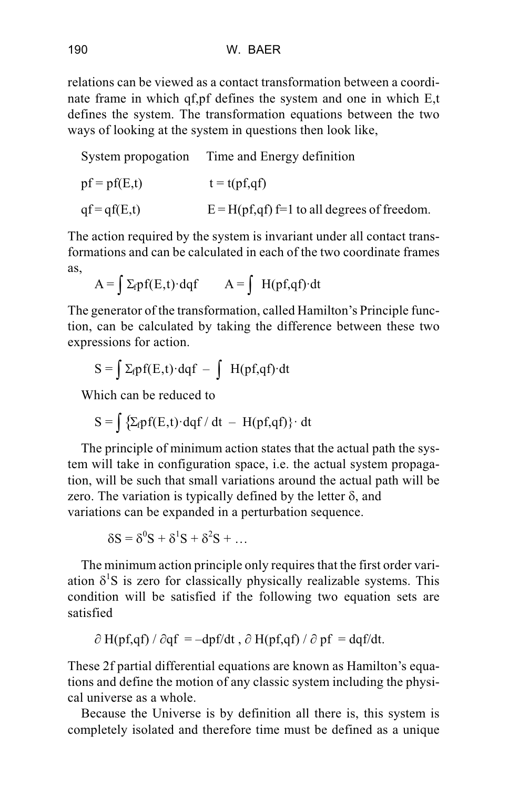relations can be viewed as a contact transformation between a coordinate frame in which qf,pf defines the system and one in which E,t defines the system. The transformation equations between the two ways of looking at the system in questions then look like,

System propogation Time and Energy definition  $pf = pf(E,t)$   $t = t(pf,qf)$  $qf = qf(E,t)$   $E = H(pf,qf) f = 1$  to all degrees of freedom.

The action required by the system is invariant under all contact transformations and can be calculated in each of the two coordinate frames as,

$$
A = \int \Sigma_f p f(E, t) \cdot dq f \qquad A = \int H(p f, q f) \cdot dt
$$

The generator of the transformation, called Hamilton's Principle function, can be calculated by taking the difference between these two expressions for action.

$$
S = \int \Sigma_f pf(E,t) \cdot dqf - \int H(pf,qf) \cdot dt
$$

Which can be reduced to

$$
S = \int {\sum_{f} p f(E, t) \cdot dqf / dt - H(pf, qf)} \cdot dt
$$

The principle of minimum action states that the actual path the system will take in configuration space, i.e. the actual system propagation, will be such that small variations around the actual path will be zero. The variation is typically defined by the letter  $\delta$ , and variations can be expanded in a perturbation sequence.

$$
\delta S = \delta^0 S + \delta^1 S + \delta^2 S + \dots
$$

The minimum action principle only requires that the first order variation  $\delta^1$ S is zero for classically physically realizable systems. This condition will be satisfied if the following two equation sets are satisfied

$$
\partial H(pf,qf) / \partial qf = -dpf/dt
$$
,  $\partial H(pf,qf) / \partial pf = dqf/dt$ .

These 2f partial differential equations are known as Hamilton's equations and define the motion of any classic system including the physical universe as a whole.

Because the Universe is by definition all there is, this system is completely isolated and therefore time must be defined as a unique